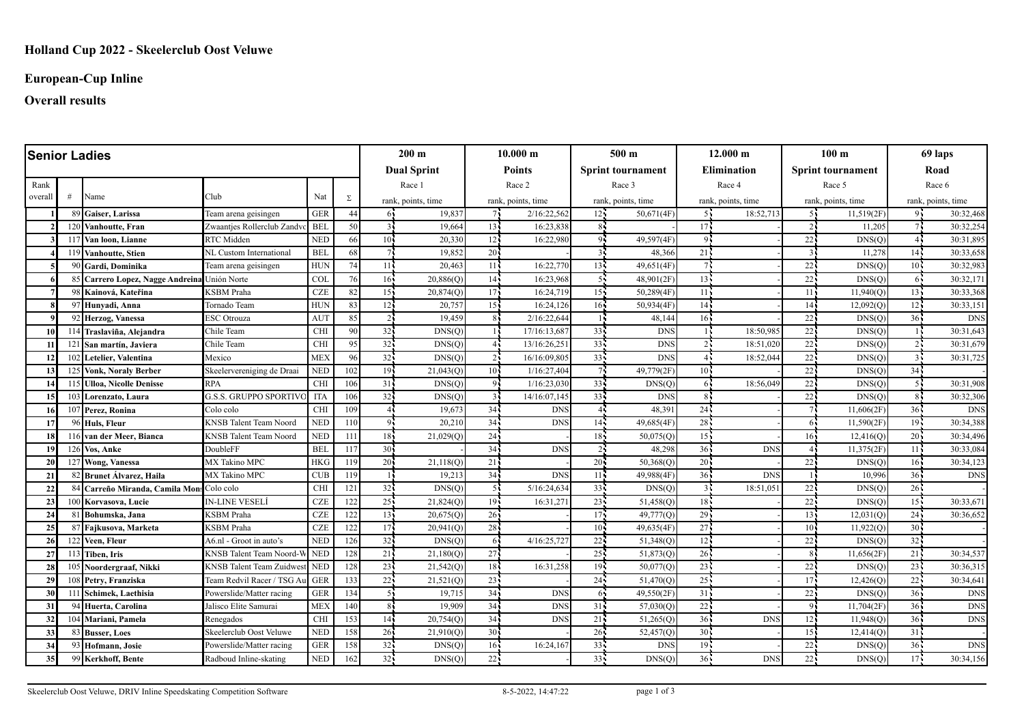# **European-Cup Inline**

# **Overall results**

| <b>Senior Ladies</b> |              |                                              |                                |                 |     |                 | $200 \text{ m}$    |                 | 10.000 m           |                 | 500 <sub>m</sub>         |                 | 12.000 m           |                 | 100 <sub>m</sub>         |                 | 69 laps            |  |
|----------------------|--------------|----------------------------------------------|--------------------------------|-----------------|-----|-----------------|--------------------|-----------------|--------------------|-----------------|--------------------------|-----------------|--------------------|-----------------|--------------------------|-----------------|--------------------|--|
|                      |              |                                              |                                |                 |     |                 | <b>Dual Sprint</b> |                 | <b>Points</b>      |                 | <b>Sprint tournament</b> |                 | <b>Elimination</b> |                 | <b>Sprint tournament</b> |                 | Road               |  |
| Rank                 |              |                                              |                                |                 |     |                 | Race 2<br>Race 1   |                 | Race 3             |                 | Race 4                   |                 |                    | Race 5          | Race 6                   |                 |                    |  |
| overall              | #            | Name                                         | Club                           | Nat             | Σ   |                 | rank, points, time |                 | rank, points, time |                 | rank, points, time       |                 | rank, points, time |                 | rank, points, time       |                 | rank, points, time |  |
|                      |              | 89 Gaiser, Larissa                           | Team arena geisingen           | <b>GER</b>      | 44  | 61              | 19,837             | 7.              | 2/16:22,562        | $12 -$          | 50,671(4F)               | 55              | 18:52,713          | 51              | 11,519(2F)               | 95              | 30:32,468          |  |
|                      |              | 120 Vanhoutte, Fran                          | Zwaantjes Rollerclub Zandy     | <b>BEI</b>      | 50  | $\overline{3}$  | 19.664             | 13 <sup>1</sup> | 16:23.838          | 8 <sub>1</sub>  |                          | 17 <sup>1</sup> |                    |                 | 11.205                   |                 | 30:32,254          |  |
|                      |              | 117 Van loon, Lianne                         | RTC Midden                     | <b>NED</b>      | 66  | $10^7$          | 20,330             | 12              | 16:22,980          | 9               | 49,597(4F)               | $Q_{\rm B}$     |                    | $22 -$          | DNS(O)                   | 44              | 30:31,895          |  |
|                      |              | 119 Vanhoutte, Stien                         | NL Custom International        | <b>BEL</b>      | 68  |                 | 19,852             | 20              |                    | $\overline{3}$  | 48,366                   | 21              |                    | 3.              | 11,278                   | $14 -$          | 30:33,658          |  |
|                      |              | 90 Gardi, Dominika                           | Team arena geisingen           | <b>HUN</b>      | 74  | 11 <sup>1</sup> | 20,463             | 11 <sup>1</sup> | 16:22,770          | 13 <sup>7</sup> | 49,651(4F)               |                 |                    | 22 <sub>1</sub> | DNS(O                    | $10 -$          | 30:32,983          |  |
|                      |              | 85 Carrero Lopez, Nagge Andreina Unión Norte |                                | <b>COL</b>      | 76  | 16 <sub>1</sub> | $20,886($ O        | 14 <sub>1</sub> | 16:23,968          | 55              | 48,901(2F)               | $13 -$          |                    | 22              | DNS(Q)                   | 6.              | 30:32,171          |  |
|                      |              | 98 Kainová, Kateřina                         | KSBM Praha                     | <b>CZE</b>      | 82  | 15 <sub>1</sub> | 20,874(Q)          | 17 <sup>1</sup> | 16:24,719          | 15 <sub>1</sub> | 50,289(4F)               | 11              |                    | 11 <sup>2</sup> | 11,940(Q)                | 13 <sup>7</sup> | 30:33,368          |  |
|                      |              | 97 Hunyadi, Anna                             | Tornado Team                   | <b>HUN</b>      | 83  | 12 <sup>1</sup> | 20,757             | 15 <sup>2</sup> | 16:24,126          | $16 -$          | 50,934(4F)               | 14              |                    | 14 <sub>1</sub> | 12,092(Q)                | 12 <sup>2</sup> | 30:33,151          |  |
|                      |              | 92 Herzog, Vanessa                           | <b>ESC</b> Otrouza             | AU <sub>1</sub> | 85  | $2\mathbf{I}$   | 19,459             | 85              | 2/16:22,644        |                 | 48,144                   | 16 <sup>1</sup> |                    | 22              | DNS(Q)                   | 36 <sup>1</sup> | <b>DNS</b>         |  |
| <b>10</b>            |              | 114 Traslaviña, Alejandra                    | Chile Team                     | <b>CHI</b>      | 90  | 32 <sub>1</sub> | DNS(O)             |                 | 17/16:13,687       | 33              | <b>DNS</b>               |                 | 18:50.985          | $22^{\degree}$  | DNS(Q)                   |                 | 30:31,643          |  |
| 11                   |              | 121 San martín, Javiera                      | Chile Team                     | <b>CHI</b>      | 95  | 32 <sub>1</sub> | DNS(O)             | 41              | 13/16:26,251       | 33              | <b>DNS</b>               |                 | 18:51,020          | 22              | DNS(Q)                   |                 | 30:31,679          |  |
| 12                   |              | 102 Letelier, Valentina                      | Mexico                         | <b>MEX</b>      | 96  | 32 <sub>1</sub> | DNS(O)             | 2 <sub>1</sub>  | 16/16:09,805       | $33 -$          | <b>DNS</b>               |                 | 18:52,044          | $22 -$          | DNS(Q)                   |                 | 30:31,725          |  |
| 13                   |              | 125 Vonk, Noraly Berber                      | Skeelervereniging de Draai     | <b>NED</b>      | 102 | 19 <sup>1</sup> | 21,043(0)          | 10 <sup>1</sup> | 1/16:27,404        | 7               | 49,779(2F)               | 10 <sup>1</sup> |                    | $22^{\degree}$  | DNS(O)                   | 34              |                    |  |
|                      |              | 115 Ulloa, Nicolle Denisse                   | <b>RPA</b>                     | <b>CHI</b>      | 106 | 31              | DNS(O)             | -91             | 1/16:23,030        | 33 <sup>1</sup> | DNS(Q)                   | 65              | 18:56,049          | 22:             | DNS(Q)                   |                 | 30:31,908          |  |
| 15                   | 103          | Lorenzato, Laura                             | <b>G.S.S. GRUPPO SPORTIV</b>   | <b>ITA</b>      | 106 | 32 <sub>1</sub> | DNS(O)             | 3 <sub>1</sub>  | 14/16:07,145       | 33 <sup>1</sup> | <b>DNS</b>               |                 |                    | $22 -$          | DNS(O)                   | $8 -$           | 30:32,306          |  |
| -16                  | $10^{\circ}$ | Perez. Ronina                                | Colo colo                      | <b>CHI</b>      | 109 | 4 <sup>1</sup>  | 19,673             | 34 <sub>1</sub> | <b>DNS</b>         | 4 <sup>7</sup>  | 48,391                   | 24 <sup>2</sup> |                    |                 | 11,606(2F)               | 36              | <b>DNS</b>         |  |
| 17                   |              | 96 Huls, Fleur                               | <b>KNSB Talent Team Noord</b>  | <b>NED</b>      | 110 | $\mathbf Q$     | 20,210             | 34 <sup>1</sup> | <b>DNS</b>         | 14              | 49,685(4F)               | 28              |                    | 61              | 11,590(2F)               | 19 <sub>1</sub> | 30:34,388          |  |
| 18                   |              | 116 van der Meer, Bianca                     | KNSB Talent Team Noord         | <b>NED</b>      | 111 | 18 <sup>1</sup> | 21,029(0)          | 24 <sub>1</sub> |                    | 18 <sup>1</sup> | 50,075(Q)                | 15 <sup>1</sup> |                    | 16 <sub>1</sub> | 12,416(O)                | 20              | 30:34,496          |  |
| 19                   |              | 126 Vos, Anke                                | DoubleFF                       | <b>BEL</b>      | 117 | 30 <sup>2</sup> |                    | 34              | <b>DNS</b>         | $\overline{2}$  | 48,298                   | $36 -$          | <b>DNS</b>         |                 | 11,375(2F)               | 11 <sup>2</sup> | 30:33,084          |  |
| 20                   |              | 127 Wong, Vanessa                            | MX Takino MPC                  | <b>HKG</b>      | 119 | 20              | 21,118(Q)          | 21              |                    | 20 <sup>1</sup> | 50,368(Q)                | 20 <sup>1</sup> |                    | $22 -$          | DNS(O)                   | $16 -$          | 30:34,123          |  |
| 21                   |              | 82 Brunet Álvarez, Haila                     | MX Takino MPC                  | <b>CUB</b>      | 119 |                 | 19.213             | 34 <sub>1</sub> | <b>DNS</b>         | 11              | 49,988(4F)               | 36 <sup>1</sup> | DN <sub>S</sub>    |                 | 10,996                   | $36 -$          | <b>DNS</b>         |  |
| 22                   |              | 84 Carreño Miranda, Camila Mon: Colo colo    |                                | <b>CHI</b>      | 121 | 32 <sub>1</sub> | DNS(O)             | 5 <sup>1</sup>  | 5/16:24,634        | 33 <sup>2</sup> | DNS(O)                   | 3.1             | 18:51,05           | $22 -$          | DNS(Q)                   | 26              |                    |  |
| 23                   |              | 100 Korvasova, Lucie                         | IN-LINE VESELÍ                 | <b>CZE</b>      | 122 | $25$ :          | 21,824(0)          | 19              | 16:31,271          | 23              | 51,458(Q)                | 18 <sup>1</sup> |                    | 22 <sub>1</sub> | DNS(Q)                   | 15 <sup>2</sup> | 30:33,671          |  |
| 24                   |              | 81 Bohumska, Jana                            | KSBM Praha                     | $CZE$           | 122 | 13 <sup>1</sup> | 20,675(Q)          | 26 <sup>1</sup> |                    | $17 -$          | 49,777(Q)                | $29 -$          |                    | 13 <sup>1</sup> | 12,031(Q)                | $24 -$          | 30:36,652          |  |
| 25                   |              | 87 Fajkusova, Marketa                        | <b>KSBM</b> Praha              | <b>CZE</b>      | 122 | 17              | 20,941(Q)          | 28.             |                    | 10 <sup>7</sup> | 49,635(4F)               | 27              |                    | 10 <sup>1</sup> | 11,922(Q)                | 30 <sup>7</sup> |                    |  |
| 26                   |              | 122 Veen, Fleur                              | A6.nl - Groot in auto's        | <b>NED</b>      | 126 | 32 <sup>1</sup> | DNS(O)             | 6 <sup>1</sup>  | 4/16:25,727        | 22              | 51,348(O)                | 12              |                    | 22 <sub>1</sub> | DNS(O)                   | 32              |                    |  |
| 27                   |              | 113 Tiben, Iris                              | <b>KNSB Talent Team Noord-</b> | <b>NED</b>      | 128 | 21 <sub>1</sub> | 21,180(0)          | $27 -$          |                    | 25              | 51,873(Q)                | $26 -$          |                    | 8.              | 11,656(2F)               | 21              | 30:34,537          |  |
| 28                   |              | 105 Noordergraaf, Nikki                      | KNSB Talent Team Zuidwe        | <b>NED</b>      | 128 | 23.             | 21,542(Q)          | 18              | 16:31,258          | 19 <sub>1</sub> | 50,077(Q)                | 23              |                    | 22              | DNS(Q)                   | 23              | 30:36,315          |  |
| 29                   | 108          | Petry, Franziska                             | Team Redvil Racer / TSG.       | <b>GER</b>      | 133 | 22 <sub>1</sub> | 21,521(0)          | 23 <sup>1</sup> |                    | 24              | 51,470(0)                | 25              |                    | 17 <sup>1</sup> | 12,426(0)                | 22              | 30:34,641          |  |
| 30                   |              | 111 Schimek, Laethisia                       | Powerslide/Matter racing       | <b>GER</b>      | 134 | 51              | 19,715             | 34 <sub>1</sub> | <b>DNS</b>         | 65              | 49,550(2F)               | 31              |                    | $22 -$          | DNS(O)                   | $36 -$          | <b>DNS</b>         |  |
| 31                   |              | Huerta, Carolina                             | Jalisco Elite Samurai          | <b>MEX</b>      | 140 | 8 <sup>1</sup>  | 19.909             | 34 <sub>1</sub> | <b>DNS</b>         | 31              | 57,030(O)                | 22              |                    | 9,              | 11,704(2F)               | 36 <sup>1</sup> | <b>DNS</b>         |  |
| 32                   | 104          | Mariani, Pamela                              | Renegados                      | <b>CHI</b>      | 153 | 14 <sup>2</sup> | 20,754(0)          | 34 <sup>1</sup> | <b>DNS</b>         | 21              | 51,265(Q)                | 36 <sup>1</sup> | <b>DNS</b>         | 12 <sub>1</sub> | 11,948(Q)                | 36 <sup>1</sup> | <b>DNS</b>         |  |
| 33                   |              | 83 Busser, Loes                              | Skeelerclub Oost Veluwe        | <b>NED</b>      | 158 | 26 <sup>1</sup> | 21,910(Q)          | 30 <sup>1</sup> |                    | $26 -$          | 52,457(Q)                | $30 -$          |                    | 15 <sub>1</sub> | 12,414(Q)                | 31 <sup>1</sup> |                    |  |
| 34                   |              | 93 Hofmann, Josie                            | Powerslide/Matter racing       | <b>GER</b>      | 158 | 32              | DNS(O)             | 16 <sup>1</sup> | 16:24,167          | 33 <sup>1</sup> | <b>DNS</b>               | $19 -$          |                    | 22              | DNS(O                    | 36 <sup>1</sup> | <b>DNS</b>         |  |
| 35                   |              | 99 Kerkhoff, Bente                           | Radboud Inline-skating         | <b>NED</b>      | 162 | 32 <sub>1</sub> | DNS(Q)             | 22 <sub>1</sub> |                    | 33 <sup>7</sup> | DNS(Q)                   | 36 <sup>7</sup> | <b>DNS</b>         | 22:             | DNS(Q)                   | $17 -$          | 30:34,156          |  |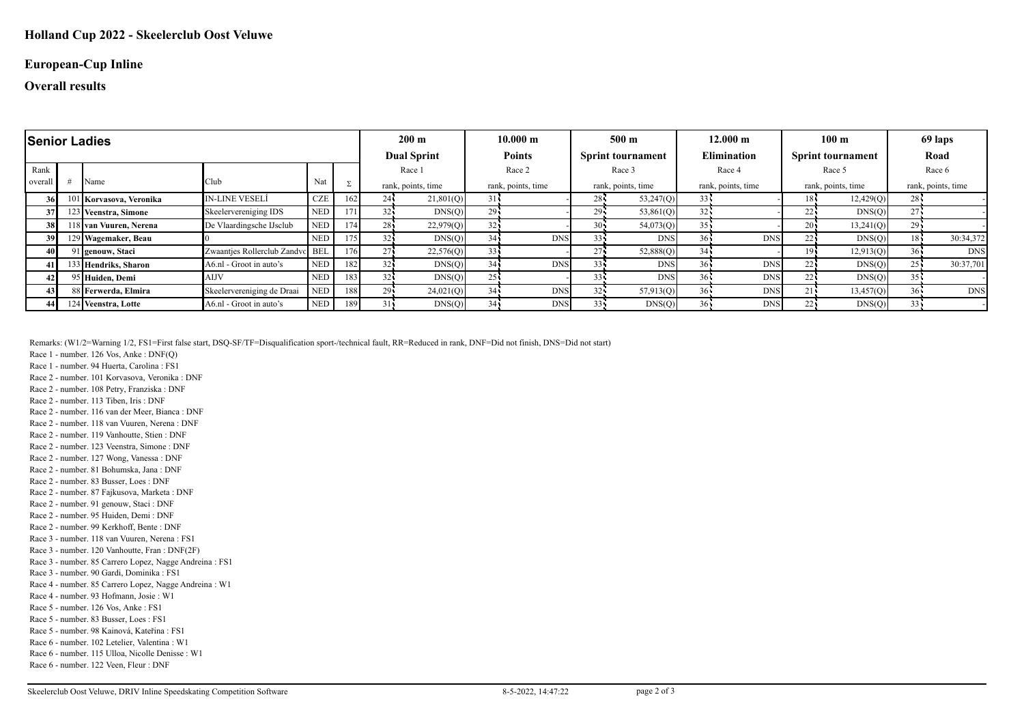#### **European-Cup Inline**

### **Overall results**

| <b>Senior Ladies</b> |  |                         |                                 |            |     |                    | $200 \text{ m}$    |                    | 10.000 m                                  |                    | $500 \text{ m}$    |                    | $12.000 \;{\rm m}$       |                    | 100 <sub>m</sub> |                    | 69 laps    |  |
|----------------------|--|-------------------------|---------------------------------|------------|-----|--------------------|--------------------|--------------------|-------------------------------------------|--------------------|--------------------|--------------------|--------------------------|--------------------|------------------|--------------------|------------|--|
|                      |  |                         |                                 |            |     |                    | <b>Dual Sprint</b> |                    | <b>Points</b><br><b>Sprint tournament</b> |                    | <b>Elimination</b> |                    | <b>Sprint tournament</b> |                    | Road             |                    |            |  |
| Rank                 |  |                         |                                 |            |     |                    | Race 1             |                    | Race 2                                    |                    | Race 3             |                    | Race 4                   |                    | Race 5           |                    | Race 6     |  |
| overall              |  | Name                    | Club                            | Nat        | Σ   | rank, points, time |                    | rank, points, time |                                           | rank, points, time |                    | rank, points, time |                          | rank, points, time |                  | rank, points, time |            |  |
| 36 l                 |  | 101 Korvasova, Veronika | <b>IN-LINE VESELÍ</b>           | <b>CZE</b> | 162 | 24:                | 21,801(Q)          | 31                 |                                           | 28i                | 53,247(Q)          | $33 -$             |                          | 18                 | 12,429(Q)        | $28 -$             |            |  |
| 37                   |  | 123 Veenstra, Simone    | Skeelervereniging IDS           | <b>NED</b> | 171 | 32 <sub>1</sub>    | DNS(Q)             | $29 -$             |                                           | 29                 | 53,861(Q)          | $32 -$             |                          | 22                 | DNS(Q)           | $27 -$             |            |  |
| 38 I                 |  | 118 Ivan Vuuren. Nerena | De Vlaardingsche IJsclub        | <b>NED</b> | 174 | $28 -$             | 22,979(Q)          |                    |                                           | $30 -$             | 54,073(Q)          |                    |                          |                    | 13,241(Q)        | $29 -$             |            |  |
| 39                   |  | 129 Wagemaker, Beau     |                                 | <b>NED</b> | 175 | 32 <sub>1</sub>    | DNS(Q)             | 34 <sup>2</sup>    | <b>DNS</b>                                | $33 -$             | <b>DNS</b>         |                    | <b>DNS</b>               | 22.                | DNS(Q)           | $18 -$             | 30:34,372  |  |
| 40 I                 |  | 91 genouw, Staci        | Zwaantjes Rollerclub Zandvc BEL |            | 176 | 27                 | 22,576(Q)          | 33 <sup>1</sup>    |                                           | 27 <sup>1</sup>    | 52,888(Q)          | 34 <sub>1</sub>    |                          | 19                 | 12,913(Q)        | $36 -$             | <b>DNS</b> |  |
| 41                   |  | 133 Hendriks, Sharon    | A6.nl - Groot in auto's         | <b>NED</b> | 182 | $32 -$             | DNS(Q)             | 34                 | <b>DNS</b>                                |                    | <b>DNS</b>         |                    | <b>DNS</b>               |                    | DNS(Q)           |                    | 30:37,701  |  |
| 42                   |  | 95 Huiden, Demi         | <b>AIJV</b>                     | <b>NED</b> | 183 | 32 <sub>1</sub>    | DNS(Q)             | 25.                |                                           |                    | <b>DNS</b>         |                    | <b>DNS</b>               | 22                 | DNS(Q)           | $35 -$             |            |  |
| 43                   |  | 88 Ferwerda, Elmira     | Skeelervereniging de Draai      | <b>NED</b> | 188 | 29                 | 24,021(Q)          | 34                 | <b>DNS</b>                                | 32                 | 57,913(Q)          |                    | <b>DNS</b>               |                    | 13,457(Q)        | $36 -$             | <b>DNS</b> |  |
| 44.                  |  | 124 Veenstra, Lotte     | A6.nl - Groot in auto's         | <b>NED</b> | 189 | $31 -$             | DNS(Q)             | 34                 | <b>DNS</b>                                |                    | DNS(Q)             |                    | <b>DNS</b>               |                    | DNS(Q)           | $33 -$             |            |  |

Remarks: (W1/2=Warning 1/2, FS1=First false start, DSQ-SF/TF=Disqualification sport-/technical fault, RR=Reduced in rank, DNF=Did not finish, DNS=Did not start)

Race 1 - number. 126 Vos, Anke : DNF(Q)

Race 1 - number. 94 Huerta, Carolina : FS1

Race 2 - number. 101 Korvasova, Veronika : DNF

Race 2 - number. 108 Petry, Franziska : DNF

Race 2 - number. 113 Tiben, Iris : DNF

Race 2 - number. 116 van der Meer, Bianca : DNF Race 2 - number. 118 van Vuuren, Nerena : DNF

Race 2 - number. 119 Vanhoutte, Stien : DNF

Race 2 - number. 123 Veenstra, Simone : DNF

Race 2 - number. 127 Wong, Vanessa : DNF

Race 2 - number. 81 Bohumska, Jana : DNF

Race 2 - number. 83 Busser, Loes : DNF

Race 2 - number. 87 Fajkusova, Marketa : DNF

Race 2 - number. 91 genouw, Staci : DNF

Race 2 - number. 95 Huiden, Demi : DNF

Race 2 - number. 99 Kerkhoff, Bente : DNF

Race 3 - number. 118 van Vuuren, Nerena : FS1

Race 3 - number. 120 Vanhoutte, Fran : DNF(2F)

Race 3 - number. 85 Carrero Lopez, Nagge Andreina : FS1 Race 3 - number. 90 Gardi, Dominika : FS1

Race 4 - number. 85 Carrero Lopez, Nagge Andreina : W1

Race 4 - number. 93 Hofmann, Josie : W1

Race 5 - number. 126 Vos, Anke : FS1

Race 5 - number. 83 Busser, Loes : FS1

Race 5 - number. 98 Kainová, Kateřina : FS1

Race 6 - number. 102 Letelier, Valentina : W1

Race 6 - number. 115 Ulloa, Nicolle Denisse : W1

Race 6 - number. 122 Veen, Fleur : DNF